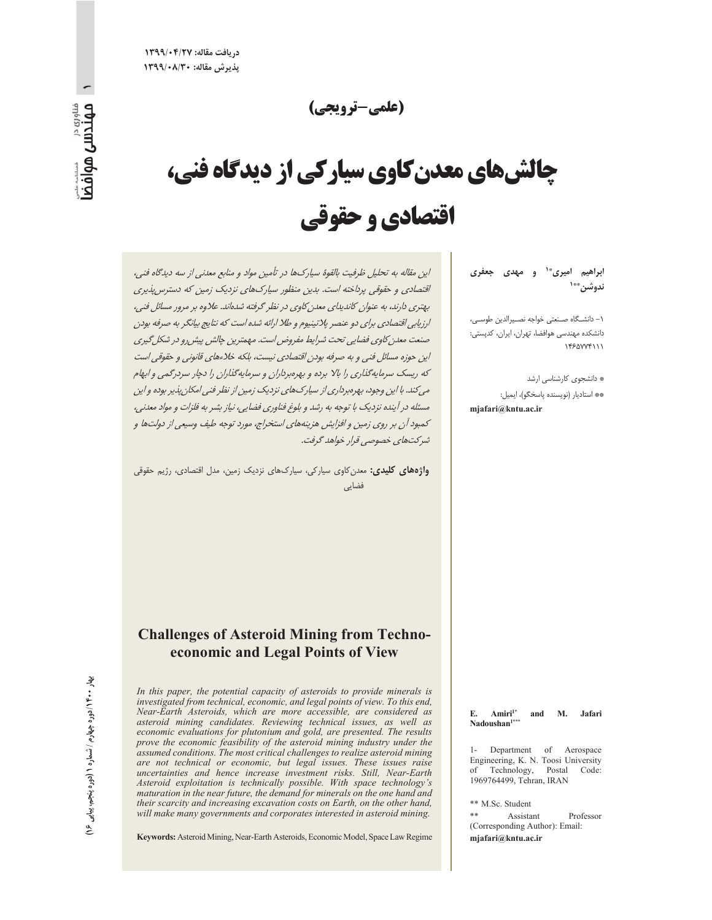(علمي-تروتحي)

# **چالشهای معدن کاوی سیارکی از دیدگاه فنی،** اقتصادي و حقوقي

ابراهیم امیری\*<sup>۱</sup> و مهدی جعفری ندوشن\*\*`

١- دانشگاه صنعتي خواجه نصيرالدين طوسي، دانشکده مهندسی هوافضا، تهران، ایران، کدپستی: 1450774111

\* دانشجوی کارشناسی ارشد \*\* استاديار (نويسنده پاسخگو)، ايميل: mjafari@kntu.ac.ir

این مقاله به تحلیل ظرفیت بالقوهٔ سیارکها در تأمین مواد و منابع معدنی از سه دیدگاه فنی، اقتصادی و حقوقی پرداخته است. بدین منظور سپارکهای نزدیک زمین که دسترس پذیری بهتری دارند، به عنوان کاندیدای معدن کاوی در نظر گرفته شدهاند. علاوه بر مرور مسائل فنی، ارزیابی اقتصادی برای دو عنصر پلاتینیوم و طلا ارائه شده است که نتایج بیانگر به صرفه بودن صنعت معدن كاوي فضايي تحت شرايط مفروض است. مهمترين چالش پيش رو در شكل گيري این حوزه مسائل فنی و به صرفه بودن اقتصادی نیست، بلکه خلاءهای قانونی و حقوقی است که ریسک سرمایهگذاری را بالا برده و بهرهبرداران و سرمایهگذاران را دچار سردرگمی و ابهام می کند. با این وجود، بهرهبرداری از سیارک های نزدیک زمین از نظر فنی امکان پذیر بوده و این مسئله در آینده نزدیک با توجه به رشد و بلوغ فناوری فضایی، نیاز بشر به فلزات و مواد معدنی، کمبود آن بر روی زمین و افزایش هزینههای استخراج، مورد توجه طیف وسیعی از دولتها و شركتهاي خصوصي قرار خواهد گرفت.

واژههای کلیدی: معدن کاوی سیارکی، سیارکهای نزدیک زمین، مدل اقتصادی، رژیم حقوقی فضایی

#### **Challenges of Asteroid Mining from Techno**economic and Legal Points of View

In this paper, the potential capacity of asteroids to provide minerals is investigated from technical, economic, and legal points of view. To this end, Near-Earth Asteroids, which are more accessible, are considered as asteroid mining candidates. Reviewing technical issues, as well as economic evaluations for plutonium and gold, are presented. The results prove the economic feasibility of the asteroid mining industry under the assumed conditions. The most critical challenges to realize asteroid mining are not technical or economic, but legal issues. These issues raise uncertainties and hence increase investment risks. Still, Near-Earth Asteroid exploitation is technically possible. With space technology's maturation in the near future, the demand for minerals on the one hand and their scarcity and increasing excavation costs on Earth, on the other hand, will make many governments and corporates interested in asteroid mining.

Keywords: Asteroid Mining, Near-Earth Asteroids, Economic Model, Space Law Regime

Amiri<sup>1\*</sup> **M.** Jafari E. and Nadoushan<sup>1\*</sup>

1- Department of Aerospace Engineering, K. N. Toosi University of Technology, Postal Code: 1969764499, Tehran, IRAN

\*\* M.Sc. Student

 $**$ Assistant Professor (Corresponding Author): Email: mjafari@kntu.ac.ir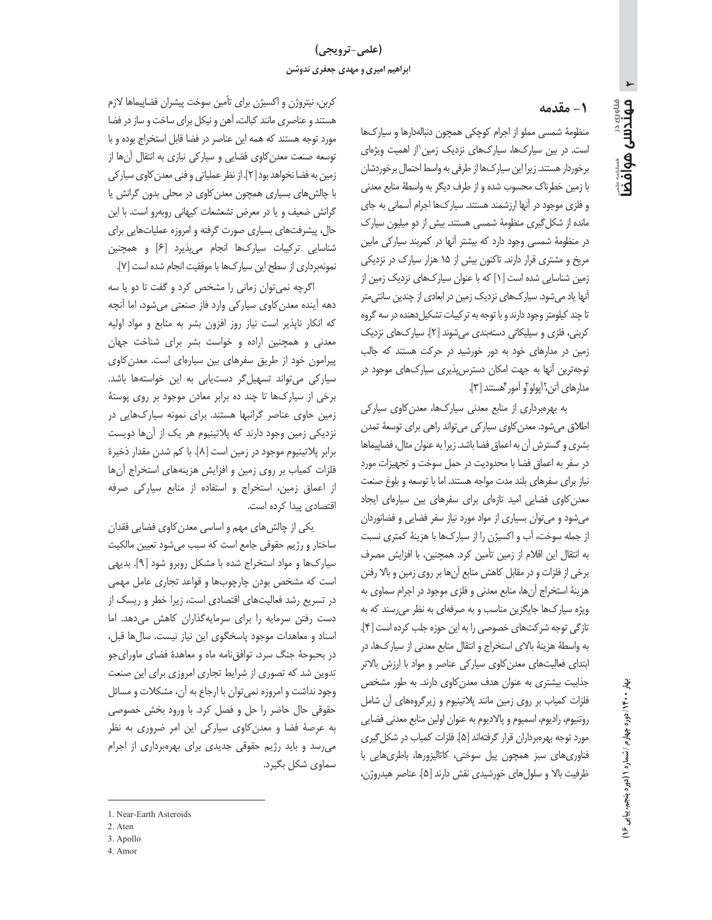## (علمي-ترويجي) ابراهیم امیری و مهدی جعفری ندوشن

## 1- مقدمه

منظومهٔ شمسی مملو از اجرام کوچکی همچون دنبالهدارها و سیارکها است. در بین سیارکها، سیارکهای نزدیک زمین از اهمیت ویژهای برخوردار هستند. زیرا این سیارکها از طرفی به واسط احتمال برخوردشان با زمین خطرناک محسوب شده و از طرف دیگر به واسطهٔ منابع معدنی و فلزی موجود در آنها ارزشمند هستند. سیارکها اجرام آسمانی به جای مانده از شکل گیری منظومهٔ شمسی هستند. بیش از دو میلیون سیارک در منظومهٔ شمسی وجود دارد که بیشتر آنها در کمربند سیارکی مابین مریخ و مشتری قرار دارند. تاکنون بیش از ۱۵ هزار سیارک در نزدیکی زمین شناسایی شده است [۱] که با عنوان سیارکهای نزدیک زمین از آنها یاد میشود. سیارکهای نزدیک زمین در ابعادی از چندین سانتی متر تا چند کیلومتر وجود دارند و با توجه به ترکیبات تشکیل دهنده در سه گروه کربنی، فلزی و سیلیکاتی دستهبندی می شوند [۲]. سیارکهای نزدیک زمین در مدارهای خود به دور خورشید در حرکت هستند که جالب توجهترین أنها به جهت امکان دسترس پذیری سیارکهای موجود در مدارهای آتن، آیولو و آمور گهستند [۳].

به بهرهبرداری از منابع معدنی سیارکها، معدن کاوی سیارکی اطلاق میشود. معدن کاوی سیارکی میتواند راهی برای توسعهٔ تمدن بشری و گسترش آن به اعماق فضا باشد. زیرا به عنوان مثال، فضاپیماها در سفر به اعماق فضا با محدودیت در حمل سوخت و تجهیزات مورد نیاز برای سفرهای بلند مدت مواجه هستند. اما با توسعه و بلوغ صنعت معدن کاوی فضایی امید تازهای برای سفرهای بین سیارهای ایجاد می شود و می توان بسیاری از مواد مورد نیاز سفر فضایی و فضانوردان از جمله سوخت، آب و اکسیژن را از سیارکها با هزینهٔ کمتری نسبت به انتقال این اقلام از زمین تأمین کرد. همچنین، با افزایش مصرف برخی از فلزات و در مقابل کاهش منابع آنها بر روی زمین و بالا رفتن هزینهٔ استخراج آنها، منابع معدنی و فلزی موجود در اجرام سماوی به ویژه سیارکها جایگزین مناسب و به صرفهای به نظر میرسند که به تازكي توجه شركتهاي خصوصي را به اين حوزه جلب كرده است [۴]. به واسطهٔ هزینهٔ بالای استخراج و انتقال منابع معدنی از سیارکها، در ابتدای فعالیتهای معدن کاوی سیارکی عناصر و مواد با ارزش بالاتر جذابیت بیشتری به عنوان هدف معدن کاوی دارند. به طور مشخص فلزات كمياب بر روى زمين مانند پلاتينيوم و زيرگروههاى آن شامل روتنيوم، راديوم، اسميوم و پالاديوم به عنوان اولين منابع معدني فضايي مورد توجه بهرهبرداران قرار گرفتهاند [۵]. فلزات كمياب در شكل گيري فناوریهای سبز همچون پیل سوختی، کاتالیزورها، باطریهایی با ظرفيت بالا و سلول هاي خورشيدي نقش دارند [۵]. عناصر هيدروژن،

كربن، نيتروژن و اكسيژن براي تأمين سوخت پيشران فضاپيماها لازم هستند و عناصری مانند کبالت، آهن و نیکل برای ساخت و ساز در فضا مورد توجه هستند که همه این عناصر در فضا قابل استخراج بوده و با توسعه صنعت معدن كاوى فضايي و سياركي نيازي به انتقال أنها از زمین به فضا نخواهد بود [٢]. از نظر عملیاتی و فنی معدن کاوی سیار کی با چالش های بسیاری همچون معدن کاوی در محلی بدون گرانش یا گرانش ضعیف و یا در معرض تشعشعات کیهانی روبهرو است. با این حال، پیشرفتهای بسیاری صورت گرفته و امروزه عملیاتهایی برای شناسایی ترکیبات سیارکھا انجام میپذیرد [۶] و همچنین نمونهبرداري از سطح اين سياركها با موفقيت انجام شده است [٧].

اگرچه نمی توان زمانی را مشخص کرد و گفت تا دو یا سه دهه آینده معدن کاوی سیارکی وارد فاز صنعتی میشود، اما آنچه که انکار ناپذیر است نیاز روز افزون بشر به منابع و مواد اولیه معدنی و همچنین اراده و خواست بشر برای شناخت جهان پیرامون خود از طریق سفرهای بین سیارهای است. معدن کاوی سیارکی می تواند تسهیل گر دستیابی به این خواستهها باشد. برخی از سیارک ها تا چند ده برابر معادن موجود بر روی پوستهٔ زمین حاوی عناصر گرانبها هستند. برای نمونه سیارکهایی در نزدیکی زمین وجود دارند که پلاتینیوم هر یک از آنها دویست برابر پلاتینیوم موجود در زمین است [۸]. با کم شدن مقدار ذخیرهٔ فلزات كمياب بر روى زمين و افزايش هزينههاى استخراج آنها از اعماق زمین، استخراج و استفاده از منابع سیارکی صرفه اقتصادی پیدا کرده است.

یکی از چالش های مهم و اساسی معدن کاوی فضایی فقدان ساختار و رژیم حقوقی جامع است که سبب می شود تعیین مالکیت سیارک ها و مواد استخراج شده با مشکل روبرو شود [۹]. بدیهی است که مشخص بودن چارچوبها و قواعد تجاری عامل مهمی در تسریع رشد فعالیتهای اقتصادی است، زیرا خطر و ریسک از دست رفتن سرمايه را براى سرمايه گذاران كاهش مى دهد. اما اسناد و معاهدات موجود پاسخگوی این نیاز نیست. سالها قبل، در بحبوحهٔ جنگ سرد، توافق نامه ماه و معاهدهٔ فضای ماورایجو تدوین شد که تصوری از شرایط تجاری امروزی برای این صنعت وجود نداشت و امروزه نمی توان با ارجاع به آن، مشکلات و مسائل حقوقی حال حاضر را حل و فصل کرد. با ورود بخش خصوصی به عرصهٔ فضا و معدن کاوی سیارکی این امر ضروری به نظر می رسد و باید رژیم حقوقی جدیدی برای بهرهبرداری از اجرام سماوي شكل بگيرد.

- 3. Apollo
- 4 Amor

 $\blacktriangleright$ مهتدس موافضا

<sup>1</sup> Near-Earth Asteroids

<sup>2.</sup> Aten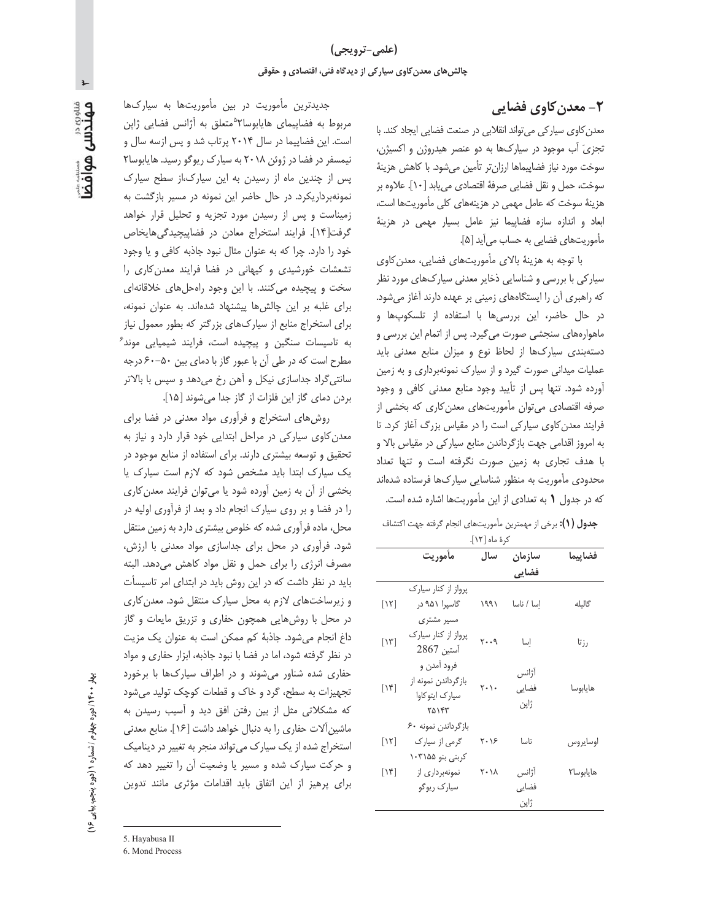#### **۲- معدن کاوی فضایی**

معدن کاوی سیارکی می تواند انقلابی در صنعت فضایی ایجاد کند. با تجزیَ آب موجود در سیارکها به دو عنصر هیدروژن و اکسیژن، سوخت مورد نیاز فضاپیماها ارزانتر تأمین میشود. با کاهش هزینهٔ سوخت، حمل و نقل فضايي صرفهٔ اقتصادي مي يابد [١٠]. علاوه بر هزینهٔ سوخت که عامل مهمی در هزینههای کلی مأموریتها است، ابعاد و اندازه سازه فضاپیما نیز عامل بسیار مهمی در هزینهٔ مأموريتهاى فضايى به حساب مى آيد [۵].

با توجه به هزینهٔ بالای مأموریتهای فضایی، معدن کاوی سیارکی با بررسی و شناسایی ذخایر معدنی سیارکھای مورد نظر که راهبری آن را ایستگاههای زمینی بر عهده دارند آغاز میشود. در حال حاضر، این بررسیها با استفاده از تلسکوپها و ماهوارههای سنجشی صورت میگیرد. پس از اتمام این بررسی و دستهبندی سیارکها از لحاظ نوع و میزان منابع معدنی باید عملیات میدانی صورت گیرد و از سیارک نمونهبرداری و به زمین اًورده شود. تنها پس از تأیید وجود منابع معدنی کافی و وجود صرفه اقتصادی می توان مأموریتهای معدن کاری که بخشی از فرایند معدن کاوی سیارکی است را در مقیاس بزرگ آغاز کرد. تا به امروز اقدامی جهت بازگرداندن منابع سیارکی در مقیاس بالا و با هدف تجاری به زمین صورت نگرفته است و تنها تعداد محدودی مأموریت به منظور شناسایی سیارکها فرستاده شدهاند كه در جدول ١ به تعدادى از اين مأموريتها اشاره شده است.

جدول (1): برخي از مهمترين مأموريتهاى انجام گرفته جهت اكتشاف كرة ماه [١٢].

|                             | مأموريت             | سال               | سازمان     | فضاييما   |
|-----------------------------|---------------------|-------------------|------------|-----------|
|                             |                     |                   | فضايي      |           |
|                             | پرواز از کنار سیارک |                   |            |           |
| $\lceil \mathcal{N} \rceil$ | گاسیرا ۹۵۱ در       | ۱۹۹۱              | اسا / ناسا | گالیله    |
|                             | مسیر مشتری          |                   |            |           |
| [۱۳]                        | پرواز از کنار سیارک | $Y \cdot \cdot 9$ | إسا        |           |
|                             | آستين 2867          |                   |            | رزتا      |
|                             | فرود آمدن و         |                   | آژانس      |           |
| [۱۴]                        | بازگرداندن نمونه از | ۲۰۱۰              | فضایی      | هايابوسا  |
|                             | سیارک ایتوکاوا      |                   |            |           |
|                             | ٢۵١۴٣               |                   | ژاپن       |           |
|                             | بازگرداندن نمونه ۶۰ |                   |            |           |
| $\lceil \mathcal{N} \rceil$ | گرمی از سیارک       | ۲۰۱۶              | ناسا       | اوسايروس  |
|                             | کربنی بنو ۱۰۳۱۵۵    |                   |            |           |
| $\lceil \mathcal{N} \rceil$ | نمونهبرداری از      | ۲۰۱۸              | آژانس      | هايابوسا٢ |
|                             | سيارک ريوگو         |                   | فضایی      |           |
|                             |                     |                   | ژاپن       |           |

جدیدترین مأموریت در بین مأموریتها به سیارکها مربوط به فضاپیمای هایابوسا ۲°متعلق به آژانس فضایی ژاپن است. این فضاپیما در سال ۲۰۱۴ پرتاب شد و پس ازسه سال و نیمسفر در فضا در ژوئن ۲۰۱۸ به سیارک ریوگو رسید. هایابوسا۲ پس از چندین ماه از رسیدن به این سیارک،از سطح سیارک نمونهبرداریکرد. در حال حاضر این نمونه در مسیر بازگشت به زمیناست و پس از رسیدن مورد تجزیه و تحلیل قرار خواهد گرفت[۱۴]. فرایند استخراج معادن در فضاپیچیدگی هایخاص خود را دارد. چرا که به عنوان مثال نبود جاذبه کافی و یا وجود تشعشات خورشیدی و کیهانی در فضا فرایند معدن کاری را سخت و پیچیده میکنند. با این وجود راهحل های خلاقانهای برای غلبه بر این چالشها پیشنهاد شدهاند. به عنوان نمونه، برای استخراج منابع از سیارکهای بزرگتر که بطور معمول نیاز به تاسیسات سنگین و پیچیده است، فرایند شیمیایی موند<sup>۶</sup> مطرح است که در طی آن با عبور گاز با دمای بین ۵۰–۶۰ درجه سانتی گراد جداسازی نیکل و آهن رخ میدهد و سپس با بالاتر بردن دمای گاز این فلزات از گاز جدا میشوند [۱۵].

روش های استخراج و فرآوری مواد معدنی در فضا برای معدن کاوی سیارکی در مراحل ابتدایی خود قرار دارد و نیاز به تحقیق و توسعه بیشتری دارند. برای استفاده از منابع موجود در یک سیارک ابتدا باید مشخص شود که لازم است سیارک یا بخشی از آن به زمین آورده شود یا می توان فرایند معدن کاری را در فضا و بر روی سیارک انجام داد و بعد از فرآوری اولیه در محل، ماده فرآوری شده که خلوص بیشتری دارد به زمین منتقل شود. فرآوری در محل برای جداسازی مواد معدنی با ارزش، مصرف انرژی را برای حمل و نقل مواد کاهش میدهد. البته باید در نظر داشت که در این روش باید در ابتدای امر تاسیسأت و زیرساختهای لازم به محل سیارک منتقل شود. معدن کاری در محل با روشهایی همچون حفاری و تزریق مایعات و گاز داغ انجام میشود. جاذبهٔ کم ممکن است به عنوان یک مزیت در نظر گرفته شود، اما در فضا با نبود جاذبه، ابزار حفاری و مواد حفاری شده شناور می شوند و در اطراف سیارکها با برخورد تجهیزات به سطح، گرد و خاک و قطعات کوچک تولید می شود که مشکلاتی مثل از بین رفتن افق دید و آسیب رسیدن به ماشین آلات حفاری را به دنبال خواهد داشت [۱۶]. منابع معدنی استخراج شده از یک سیارک می تواند منجر به تغییر در دینامیک و حرکت سیارک شده و مسیر یا وضعیت آن را تغییر دهد که برای پرهیز از این اتفاق باید اقدامات مؤثری مانند تدوین

 $\blacktriangleright$ 

5. Hayabusa II

6. Mond Process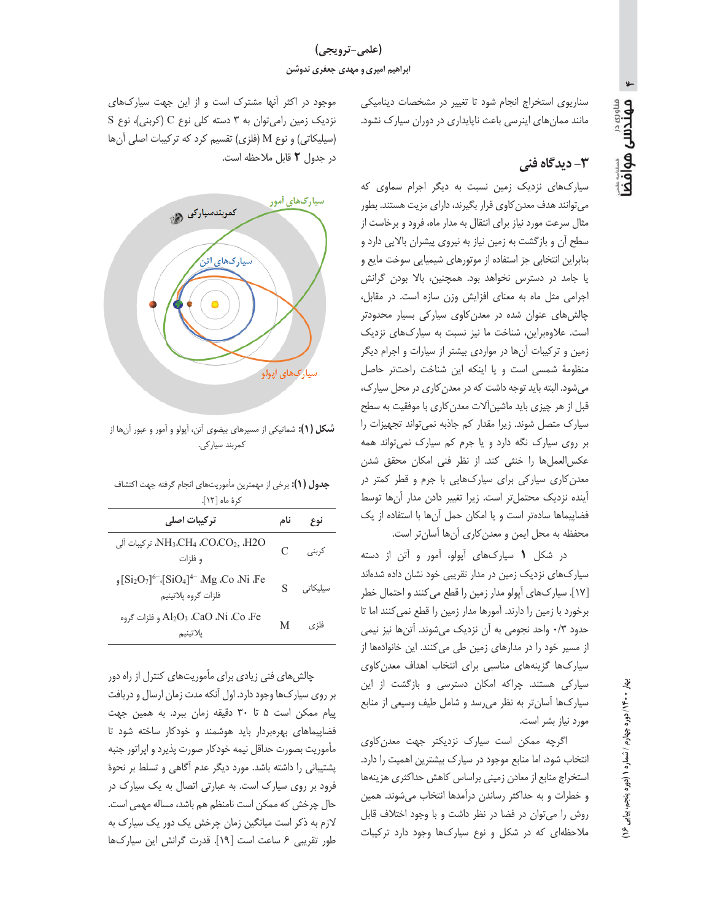سناریوی استخراج انجام شود تا تغییر در مشخصات دینامیکی مانند ممانهای اینرسی باعث ناپایداری در دوران سیارک نشود.

#### ۳- دىدگاه فنى

سیارکھای نزدیک زمین نسبت به دیگر اجرام سماوی که می توانند هدف معدن کاوی قرار بگیرند، دارای مزیت هستند. بطور مثال سرعت مورد نیاز برای انتقال به مدار ماه، فرود و برخاست از سطح آن و بازگشت به زمین نیاز به نیروی پیشران بالایی دارد و بنابراین انتخابی جز استفاده از موتورهای شیمیایی سوخت مایع و یا جامد در دسترس نخواهد بود. همچنین، بالا بودن گرانش اجرامی مثل ماه به معنای افزایش وزن سازه است. در مقابل، چالشهای عنوان شده در معدن کاوی سیار کی بسیار محدودتر است. علاوهبراین، شناخت ما نیز نسبت به سیارکهای نزدیک زمین و ترکیبات آنها در مواردی بیشتر از سیارات و اجرام دیگر منظومهٔ شمسی است و یا اینکه این شناخت راحتتر حاصل می شود. البته باید توجه داشت که در معدن کاری در محل سیارک، قبل از هر چیزی باید ماشین آلات معدن کاری با موفقیت به سطح سیارک متصل شوند. زیرا مقدار کم جاذبه نمی تواند تجهیزات را بر روی سیارک نگه دارد و یا جرم کم سیارک نمی تواند همه عكس العمل ها را خنثى كند. از نظر فنى امكان محقق شدن معدن کاری سیارکی برای سیارکھایی با جرم و قطر کمتر در آينده نزديك محتملتر است. زيرا تغيير دادن مدار آنها توسط فضاپیماها سادهتر است و یا امکان حمل آنها با استفاده از یک محفظه به محل ايمن و معدن كارى آنها آسانتر است.

در شکل ١ سيارکهاى آپولو، آمور و آتن از دسته سیارکهای نزدیک زمین در مدار تقریبی خود نشان داده شدهاند [١٧]. سیارکھای آپولو مدار زمین را قطع می کنند و احتمال خطر برخورد با زمین را دارند. آمورها مدار زمین را قطع نمی کنند اما تا حدود ٠/٣ واحد نجومي به آن نزديک ميشوند. آتنها نيز نيمي از مسیر خود را در مدارهای زمین طی میکنند. این خانوادهها از سیارکها گزینههای مناسبی برای انتخاب اهداف معدن کاوی سیارکی هستند. چراکه امکان دسترسی و بازگشت از این سیارکها آسانتر به نظر میرسد و شامل طیف وسیعی از منابع مورد نياز بشر است.

اگرچه ممکن است سیارک نزدیکتر جهت معدن کاوی انتخاب شود، اما منابع موجود در سیارک بیشترین اهمیت را دارد. استخراج منابع از معادن زمينى براساس كاهش حداكثرى هزينهها و خطرات و به حداکثر رساندن درآمدها انتخاب میشوند. همین روش را می توان در فضا در نظر داشت و با وجود اختلاف قابل ملاحظهای که در شکل و نوع سیارکها وجود دارد ترکیبات

موجود در اکثر آنها مشترک است و از این جهت سیارکهای نزدیک زمین رامی توان به ٣ دسته کلی نوع C (کربنی)، نوع S (سیلیکاتی) و نوع M (فلزی) تقسیم کرد که ترکیبات اصلی آنها در جدول ٢ قابل ملاحظه است.



**شکل (۱):** شماتیکی از مسیرهای بیضوی آتن، آپولو و آمور و عبور آنها از کمربند سیار کی.

حدمل (١) ويتمرك منتصر بأسبب تبداه انجام كافته ومعراكة فافر

| <b>جسون ۱٬۰٫ بر</b> سی از مهسرین ماموریتمدی انجام کرکته جهت<br>کرۂ ماہ [۱۲].                                           |    |          |  |  |
|------------------------------------------------------------------------------------------------------------------------|----|----------|--|--|
| تركيبات اصلى                                                                                                           |    | نوع      |  |  |
| NH <sub>3</sub> ،CH <sub>4</sub> ،CO،CO <sub>2</sub> , ،H2O، تركيبات آلى<br>و فلزات                                    | C  | کرېنې    |  |  |
| Si <sub>2</sub> O <sub>7</sub> ] <sup>6-</sup> {SiO <sub>4</sub> ] <sup>4-</sup> Mg .Co .Ni .Fe<br>فلزات گروه پلاتينيم | S. | سیلیکاتی |  |  |
| Al2O3 ،CaO ،Ni ،Co ،Fe و فلزات گروه<br>يلاتينيم                                                                        | M  | فلزى     |  |  |

چالش های فنی زیادی برای مأموریتهای کنترل از راه دور بر روی سیارکها وجود دارد. اول آنکه مدت زمان ارسال و دریافت پیام ممکن است ۵ تا ۳۰ دقیقه زمان ببرد. به همین جهت فضاپیماهای بهرهبردار باید هوشمند و خودکار ساخته شود تا مأموريت بصورت حداقل نيمه خودكار صورت پذيرد و اپراتور جنبه پشتیبانی را داشته باشد. مورد دیگر عدم آگاهی و تسلط بر نحوهٔ فرود بر روی سیارک است. به عبارتی اتصال به یک سیارک در حال چرخش كه ممكن است نامنظم هم باشد، مساله مهمى است. لازم به ذکر است میانگین زمان چرخش یک دور یک سیارک به طور تقريبي ۶ ساعت است [١٩]. قدرت گرانش اين سياركها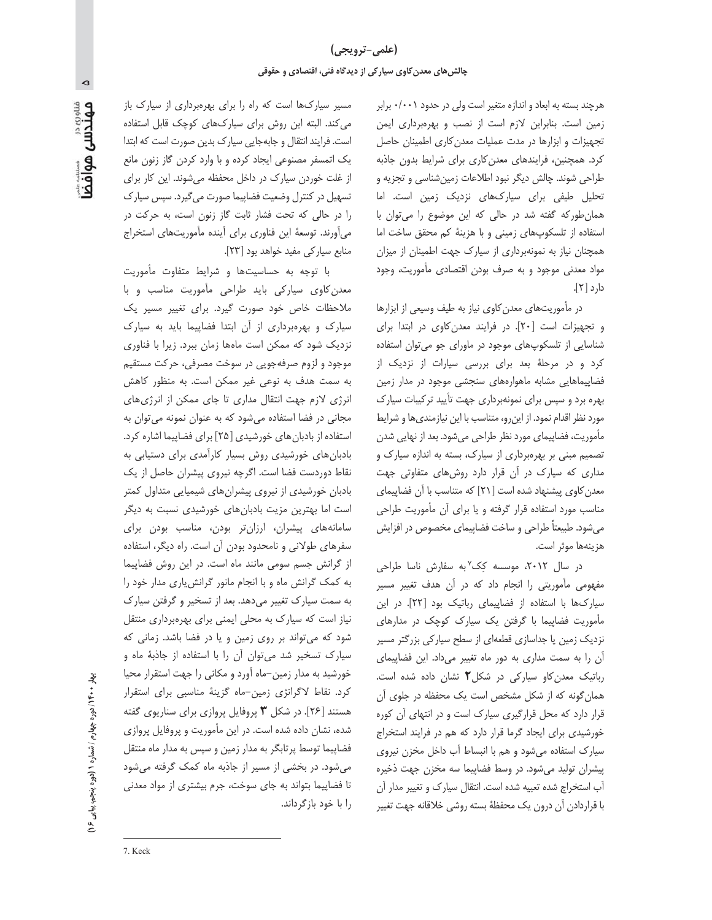هرچند بسته به ابعاد و اندازه متغیر است ولی در حدود ۰/۰۰۱ برابر زمین است. بنابراین لازم است از نصب و بهرهبرداری ایمن تجهیزات و ابزارها در مدت عملیات معدن کاری اطمینان حاصل كرد. همچنين، فرايندهاى معدن كارى براى شرايط بدون جاذبه طراحی شوند. چالش دیگر نبود اطلاعات زمینشناسی و تجزیه و تحلیل طیفی برای سیارکهای نزدیک زمین است. اما همان طور که گفته شد در حالی که این موضوع را می توان با استفاده از تلسكوپهاى زمينى وبا هزينة كم محقق ساخت اما همچنان نیاز به نمونهبرداری از سیارک جهت اطمینان از میزان مواد معدنی موجود و به صرف بودن اقتصادی مأموریت، وجود دارد [٢].

در مأموریتهای معدن کاوی نیاز به طیف وسیعی از ابزارها و تجهیزات است [٢٠]. در فرایند معدن کاوی در ابتدا برای شناسایی از تلسکوپهای موجود در ماورای جو میتوان استفاده کرد و در مرحلهٔ بعد برای بررسی سیارات از نزدیک از فضاییماهایی مشابه ماهوارههای سنجشی موجود در مدار زمین بهره برد و سپس برای نمونهبرداری جهت تأیید ترکیبات سیارک مورد نظر اقدام نمود. از این رو، متناسب با این نیازمندی ها و شرایط مأموریت، فضاپیمای مورد نظر طراحی می شود. بعد از نهایی شدن تصمیم مبنی بر بهرهبرداری از سیارک، بسته به اندازه سیارک و مداری که سیارک در آن قرار دارد روشهای متفاوتی جهت معدن کاوی پیشنهاد شده است [۲۱] که متناسب با آن فضاپیمای مناسب مورد استفاده قرار گرفته و یا برای آن مأموریت طراحی میشود. طبیعتاً طراحی و ساخت فضاپیمای مخصوص در افزایش هزينهها موثر است.

در سال ۲۰۱۲، موسسه کِک<sup>۷</sup>به سفارش ناسا طراحی مفهومی مأموریتی را انجام داد که در آن هدف تغییر مسیر سیارکها با استفاده از فضاپیمای رباتیک بود [٢٢]. در این مأموریت فضاپیما با گرفتن یک سیارک کوچک در مدارهای نزدیک زمین یا جداسازی قطعهای از سطح سیارکی بزرگتر مسیر آن را به سمت مداری به دور ماه تغییر میداد. این فضاپیمای رباتیک معدن کاو سیارکی در شکل ۲ نشان داده شده است. همان گونه که از شکل مشخص است یک محفظه در جلوی آن قرار دارد که محل قرارگیری سیارک است و در انتهای آن کوره خورشیدی برای ایجاد گرما قرار دارد که هم در فرایند استخراج سیارک استفاده می شود و هم با انبساط آب داخل مخزن نیروی پیشران تولید می شود. در وسط فضاییما سه مخزن جهت ذخیره آب استخراج شده تعبیه شده است. انتقال سیارک و تغییر مدار آن با قراردادن آن درون یک محفظهٔ بسته روشی خلاقانه جهت تغییر

مسیر سیارکها است که راه را برای بهرهبرداری از سیارک باز می کند. البته این روش برای سیارکهای کوچک قابل استفاده است. فرایند انتقال و جابهجایی سیارک بدین صورت است که ابتدا یک اتمسفر مصنوعی ایجاد کرده و با وارد کردن گاز زنون مانع از غلت خوردن سیارک در داخل محفظه میشوند. این کار برای تسهیل در کنترل وضعیت فضاپیما صورت میگیرد. سپس سیارک را در حالی که تحت فشار ثابت گاز زنون است، به حرکت در می آورند. توسعهٔ این فناوری برای آینده مأموریتهای استخراج منابع سياركي مفيد خواهد بود [٢٣].

با توجه به حساسیتها و شرایط متفاوت مأموریت معدن کاوی سیارکی باید طراحی مأموریت مناسب و با ملاحظات خاص خود صورت گیرد. برای تغییر مسیر یک سیارک و بهرهبرداری از آن ابتدا فضاییما باید به سیارک نزدیک شود که ممکن است ماهها زمان ببرد. زیرا با فناوری موجود و لزوم صرفهجويي در سوخت مصرفي، حركت مستقيم به سمت هدف به نوعی غیر ممکن است. به منظور کاهش انرژی لازم جهت انتقال مداری تا جای ممکن از انرژی های مجانی در فضا استفاده می شود که به عنوان نمونه می توان به استفاده از بادبان های خورشیدی [۲۵] برای فضاییما اشاره کرد. بادبان های خورشیدی روش بسیار کارآمدی برای دستیابی به نقاط دوردست فضا است. اگرچه نیروی پیشران حاصل از یک بادبان خورشیدی از نیروی پیشرانهای شیمیایی متداول کمتر است اما بهترین مزیت بادبانهای خورشیدی نسبت به دیگر سامانههای پیشران، ارزانتر بودن، مناسب بودن برای سفرهای طولانی و نامحدود بودن آن است. راه دیگر، استفاده از گرانش جسم سومی مانند ماه است. در این روش فضاپیما به کمک گرانش ماه و با انجام مانور گرانش یاری مدار خود را به سمت سیارک تغییر می دهد. بعد از تسخیر و گرفتن سیارک نیاز است که سیارک به محلی ایمنی برای بهرهبرداری منتقل شود که می تواند بر روی زمین و یا در فضا باشد. زمانی که سیارک تسخیر شد می توان آن را با استفاده از جاذبهٔ ماه و خورشید به مدار زمین-ماه آورد و مکانی را جهت استقرار محیا كرد. نقاط لاگرانژى زمين-ماه گزينهٔ مناسبي براى استقرار هستند [۲۶]. در شکل ۳ پروفایل پروازی برای سناریوی گفته شده، نشان داده شده است. در این مأموریت و پروفایل پروازی فضاپیما توسط پرتابگر به مدار زمین و سپس به مدار ماه منتقل می شود. در بخشی از مسیر از جاذبه ماه کمک گرفته می شود تا فضاپیما بتواند به جای سوخت، جرم بیشتری از مواد معدنی را با خود بازگرداند.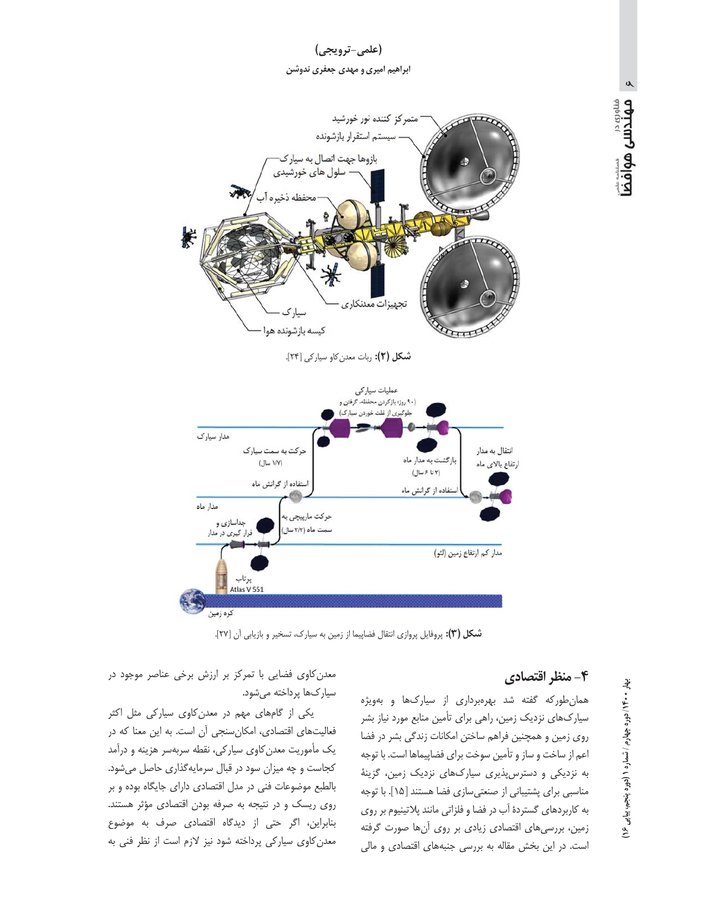



شكل (٢): ربات معدن كاو سياركي [٢۴].



**شکل (۳):** یروفایل یروازی انتقال فضاییما از زمین به سیارک، تسخیر و بازیابی آن [۲۷].

#### ۴- منظر اقتصادی

همان طور که گفته شد بهرهبرداری از سیارکها و بهویژه سیارکھای نزدیک زمین، راهی برای تأمین منابع مورد نیاز بشر روی زمین و همچنین فراهم ساختن امکانات زندگی بشر در فضا اعم از ساخت و ساز و تأمین سوخت برای فضاپیماها است. با توجه به نزدیکی و دسترس پذیری سیارکهای نزدیک زمین، گزینهٔ مناسبی برای پشتیبانی از صنعتی سازی فضا هستند [١۵]. با توجه به کاربردهای گستردهٔ آب در فضا و فلزاتی مانند پلاتینیوم بر روی زمین، بررسیهای اقتصادی زیادی بر روی آنها صورت گرفته است. در این بخش مقاله به بررسی جنبههای اقتصادی و مالی

معدن کاوی فضایی با تمرکز بر ارزش برخی عناصر موجود در سياركها پرداخته مي شود.

یکی از گامهای مهم در معدن کاوی سیارکی مثل اکثر فعالیتهای اقتصادی، امکان سنجی آن است. به این معنا که در یک مأموریت معدن کاوی سیارکی، نقطه سربهسر هزینه و درآمد كجاست و چه ميزان سود در قبال سرمايه گذارى حاصل مى شود. بالطبع موضوعات فنی در مدل اقتصادی دارای جایگاه بوده و بر روی ریسک و در نتیجه به صرفه بودن اقتصادی مؤثر هستند. بنابراین، اگر حتی از دیدگاه اقتصادی صرف به موضوع معدن کاوی سیارکی پرداخته شود نیز لازم است از نظر فنی به

 $\alpha$ 

مسوری در<br>**مهندسی هوافض**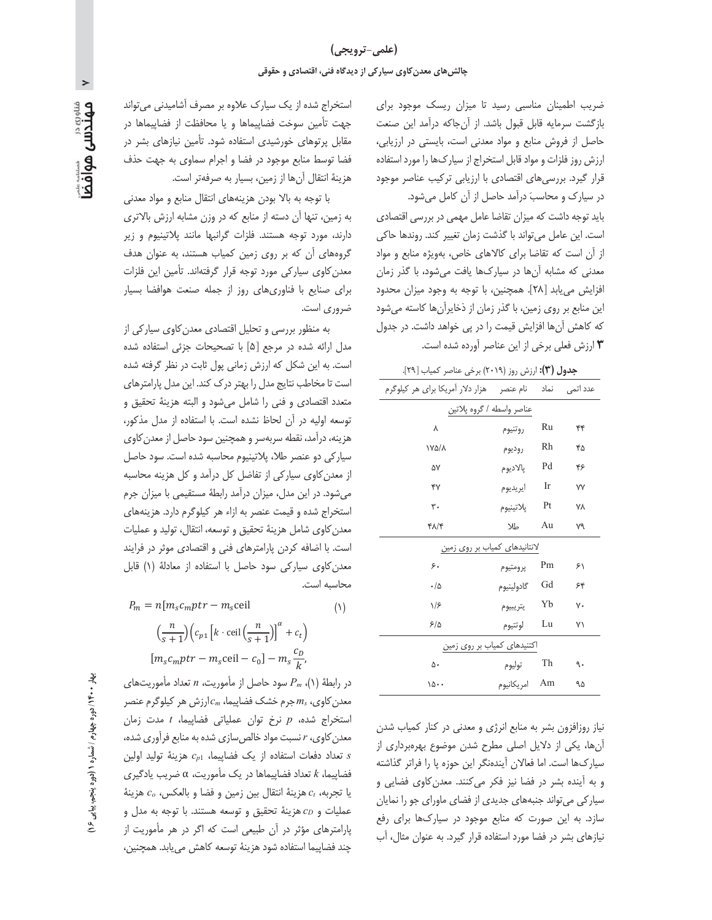ضریب اطمینان مناسبی رسید تا میزان ریسک موجود برای بازگشت سرمایه قابل قبول باشد. از آنجاکه درآمد این صنعت حاصل از فروش منابع و مواد معدنی است، بایستی در ارزیابی، ارزش روز فلزات و مواد قابل استخراج از سیارکها را مورد استفاده قرار گیرد. بررسیهای اقتصادی با ارزیابی ترکیب عناصر موجود در سیارک و محاسبَ درآمد حاصل از آن کامل می شود.

باید توجه داشت که میزان تقاضا عامل مهمی در بررسی اقتصادی است. این عامل می تواند با گذشت زمان تغییر کند. روندها حاکی از آن است که تقاضا برای کالاهای خاص، بهویژه منابع و مواد معدنی که مشابه آنها در سیارکها یافت میشود، با گذر زمان افزایش می یابد [۲۸]. همچنین، با توجه به وجود میزان محدود این منابع بر روی زمین، با گذر زمان از ذخایرآن ها کاسته می شود که کاهش آنها افزایش قیمت را در یی خواهد داشت. در جدول ارزش فعلی برخی از این عناصر آورده شده است. **۳** 

| جدول (۳): ارزش روز (۲۰۱۹) برخی عناصر کمیاب [۲۹].        |               |    |           |  |  |  |
|---------------------------------------------------------|---------------|----|-----------|--|--|--|
| عدد اتمی نماد نام عنصر هزار دلار آمریکا برای هر کیلوگرم |               |    |           |  |  |  |
| عناصر واسطه / گروه پلاتین                               |               |    |           |  |  |  |
| ٨                                                       | روتنيوم       | Ru | ۴۴        |  |  |  |
| <b>IYA/A</b>                                            | روديوم        | Rh | ۴۵        |  |  |  |
| ۵٧                                                      | پالاديوم      | Pd | ۴۶        |  |  |  |
| Y                                                       | ايريديوم      | Ir | <b>VV</b> |  |  |  |
| $\mathsf{r}$ .                                          | پلاتينيوم     | Pt | <b>VA</b> |  |  |  |
| ۴۸/۴                                                    | طلا           | Au | ٧٩        |  |  |  |
| لانتانیدهای کمیا <u>ب بر روی زمین</u>                   |               |    |           |  |  |  |
| ۶.                                                      | پرومتيوم      | Pm | ۶١        |  |  |  |
| $\cdot/\Delta$                                          | گادولينيوم    | Gd | ۶۴        |  |  |  |
| 1/5                                                     | يتريبيوم      | Yb | ٧٠        |  |  |  |
| ۶۱۵                                                     | لوتتيوم       | Lu | ۷١        |  |  |  |
| اکتنیدهای کمیاب <u>بر روی زمین</u>                      |               |    |           |  |  |  |
| ۵۰                                                      | توليوم        | Th | ٩.        |  |  |  |
| ۱۵۰۰                                                    | Am امریکانیوم |    | ۹۵        |  |  |  |

نیاز روزافزون بشر به منابع انرژی و معدنی در کنار کمیاب شدن آنها، یکی از دلایل اصلی مطرح شدن موضوع بهرهبرداری از سیارکها است. اما فعالان آیندهنگر این حوزه پا را فراتر گذاشته و به آینده بشر در فضا نیز فکر می کنند. معدن کاوی فضایی و سیار کی می تواند جنبههای جدیدی از فضای ماورای جو را نمایان سازد. به این صورت که منابع موجود در سیارکها برای رفع نیازهای بشر در فضا مورد استفاده قرار گیرد. به عنوان مثال، آب

استخراج شده از یک سیارک علاوه بر مصرف آشامیدنی می تواند جهت تأمين سوخت فضاپيماها و يا محافظت از فضاپيماها در مقابل پرتوهای خورشیدی استفاده شود. تأمین نیازهای بشر در فضا توسط منابع موجود در فضا و اجرام سماوى به جهت حذف هزينهٔ انتقال آنها از زمين، بسيار به صرفهتر است.

با توجه به بالا بودن هزينههاى انتقال منابع و مواد معدنى به زمین، تنها آن دسته از منابع که در وزن مشابه ارزش بالاتری دارند، مورد توجه هستند. فلزات گرانبها مانند پلاتینیوم و زیر گروههای آن که بر روی زمین کمیاب هستند، به عنوان هدف معدن کاوی سیارکی مورد توجه قرار گرفتهاند. تأمین این فلزات برای صنایع با فناوریهای روز از جمله صنعت هوافضا بسیار ضروري است.

به منظور بررسی و تحلیل اقتصادی معدن کاوی سیارکی از مدل ارائه شده در مرجع [۵] با تصحیحات جزئی استفاده شده است. به این شکل که ارزش زمانی پول ثابت در نظر گرفته شده است تا مخاطب نتايج مدل را بهتر درك كند. اين مدل پارامترهاى متعدد اقتصادى و فنى را شامل مىشود و البته هزينهٔ تحقيق و توسعه اوليه در آن لحاظ نشده است. با استفاده از مدل مذكور، هزینه، درآمد، نقطه سربهسر و همچنین سود حاصل از معدن کاوی سیار کی دو عنصر طلا، پلاتینیوم محاسبه شده است. سود حاصل از معدن كاوى سياركي از تفاضل كل درآمد و كل هزينه محاسبه میشود. در این مدل، میزان درآمد رابطهٔ مستقیمی با میزان جرم استخراج شده و قیمت عنصر به ازاء هر کیلوگرم دارد. هزینههای معدن كاوى شامل هزينهٔ تحقيق و توسعه، انتقال، توليد و عمليات است. با اضافه کردن پارامترهای فنی و اقتصادی موثر در فرایند معدن كاوى سياركى سود حاصل با استفاده از معادلة (١) قابل محاسبه است.

 $P_m = n[m_s c_m ptr - m_s$ ceil  $(1)$  $\left(\frac{n}{s+1}\right)\left(c_{p1}\left[k \cdot \text{ceil}\left(\frac{n}{s+1}\right)\right]^{\alpha} + c_t\right)$  $[m_s c_m ptr - m_s$ ceil –  $c_0$ ] –  $m_s \frac{c_D}{L}$ 

در رابطهٔ (۱)،  $P_m$  سود حاصل از مأموریت، n تعداد مأموریتهای معدن کاوی،  $m_s$ جرم خشک فضاپیما،  $c_m$ ارزش هر کیلوگرم عنصر استخراج شده، p نرخ توان عملیاتی فضاییما، t مدت زمان معدن کاوی، r نسبت مواد خالص سازی شده به منابع فرآوری شده،  $c_{p1}$  تعداد دفعات استفاده از یک فضاییما،  $c_{p1}$  هزینهٔ تولید اولین فضاییما، k تعداد فضاییماها در یک مأموریت، a ضریب یادگیری يا تجربه،  $c_t$  هزينهٔ انتقال بين زمين و فضا و بالعكس،  $c_o$  هزينهٔ عمليات و  $c_D$  هزينهٔ تحقيق و توسعه هستند. با توجه به مدل و پارامترهای مؤثر در آن طبیعی است که اگر در هر مأموریت از چند فضاییما استفاده شود هزینهٔ توسعه کاهش می یابد. همچنین،

 $\,>\,$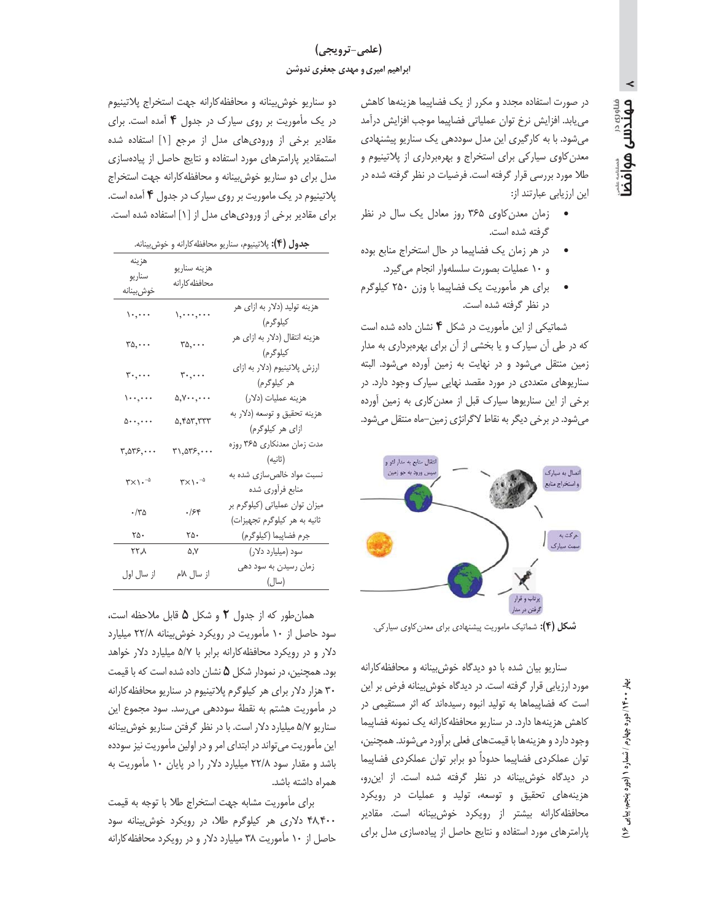# (علمي-ترويجي) ابراهیم امیری و مهدی جعفری ندوشن

مهندس هوافض

در صورت استفاده مجدد و مكرر از يك فضاپيما هزينهها كاهش می یابد. افزایش نرخ توان عملیاتی فضاپیما موجب افزایش درآمد میشود. با به کارگیری این مدل سوددهی یک سناریو پیشنهادی معدن کاوی سیارکی برای استخراج و بهرهبرداری از پلاتینیوم و طلا مورد بررسی قرار گرفته است. فرضیات در نظر گرفته شده در این ارزیابی عبارتند از:

- زمان معدن کاوی ۳۶۵ روز معادل یک سال در نظر گرفته شده است.
- در هر زمان یک فضاپیما در حال استخراج منابع بوده و ١٠ عمليات بصورت سلسلهوار انجام مي گيرد.
- برای هر مأموریت یک فضاپیما با وزن ۲۵۰ کیلوگرم در نظر گرفته شده است.

شماتیکی از این مأموریت در شکل ۴ نشان داده شده است که در طی آن سیارک و یا بخشی از آن برای بهرهبرداری به مدار زمین منتقل می شود و در نهایت به زمین آورده می شود. البته سناریوهای متعددی در مورد مقصد نهایی سیارک وجود دارد. در برخی از این سناریوها سیارک قبل از معدن کاری به زمین آورده می شود. در برخی دیگر به نقاط لاگرانژی زمین–ماه منتقل می شود.



**شکل (۴):** شماتیک ماموریت پیشنهادی برای معدن کاوی سیارکی.

سناریو بیان شده با دو دیدگاه خوش بینانه و محافظه کارانه مورد ارزیابی قرار گرفته است. در دیدگاه خوش بینانه فرض بر این است که فضاپیماها به تولید انبوه رسیدهاند که اثر مستقیمی در كاهش هزينهها دارد. در سناريو محافظه كارانه يك نمونه فضاپيما وجود دارد و هزينهها با قيمتهاى فعلى برآورد مى شوند. همچنين، توان عملکردی فضاپیما حدوداً دو برابر توان عملکردی فضاپیما در دیدگاه خوشبینانه در نظر گرفته شده است. از این رو، هزینههای تحقیق و توسعه، تولید و عملیات در رویکرد محافظه کارانه بیشتر از رویکرد خوشبینانه است. مقادیر پارامترهای مورد استفاده و نتایج حاصل از پیادهسازی مدل برای

دو سناريو خوش بينانه و محافظه كارانه جهت استخراج پلاتينيوم در یک مأموریت بر روی سیارک در جدول ۴ آمده است. برای مقادیر برخی از ورودیهای مدل از مرجع [۱] استفاده شده استمقادیر پارامترهای مورد استفاده و نتایج حاصل از پیادهسازی مدل برای دو سناریو خوش بینانه و محافظه کارانه جهت استخراج پلاتینیوم در یک ماموریت بر روی سیارک در جدول ۴ آمده است. برای مقادیر برخی از ورودیهای مدل از [۱] استفاده شده است.

جدول (۴): پلاتینیوم، سناریو محافظه کارانه و خوش بینانه.

| هزينه<br>سناريو<br>خوش بينانه                                      | هزينه سناريو<br>محافظه كارانه        |                                                                |
|--------------------------------------------------------------------|--------------------------------------|----------------------------------------------------------------|
| $\mathcal{L}, \dots$                                               | $\setminus, \dots, \dots$            | هزینه تولید (دلار به ازای هر<br>كيلوگرم)                       |
| $ra, \ldots$                                                       | $ra, \ldots$                         | هزینه انتقال (دلار به ازای هر<br>كيلوگرم)                      |
| $\mathbf{r}_{\cdot}, \dots$                                        | $\mathbf{r}$                         | ارزش پلاتینیوم (دلار به ازای<br>هر کیلوگرم)                    |
| $\langle \ldots, \ldots \rangle$                                   | $\Delta, Y \cdot \cdot, \cdot \cdot$ | هزينه عمليات (دلار)                                            |
| $\delta \cdots$ , $\cdots$                                         | ۵,۴۵۳,۳۳۳                            | هزينه تحقيق و توسعه (دلار به<br>ازای هر کیلوگرم)               |
| $\mathbf{r}, \mathbf{\Delta} \mathbf{r} \mathbf{\epsilon}, \cdots$ | ۳۱,۵۳۶, $\cdots$                     | مدت زمان معدنکاری ۳۶۵ روزه<br>(ثانيه)                          |
| $\mathsf{r}\times\mathsf{L}\cdot\mathsf{L}$                        | $\mathsf{r}\times\mathsf{L}$ .       | نسبت مواد خالصسازی شده به<br>منابع فرأوري شده                  |
| $\cdot$ /٣۵                                                        | .758                                 | میزان توان عملیاتی (کیلوگرم بر<br>ثانیه به هر کیلوگرم تجهیزات) |
| ۲۵۰                                                                | ۲۵۰                                  | جرم فضاپيما (كيلوگرم)                                          |
| ۲۲٫۸                                                               | ۵,۷                                  | سود (میلیارد دلار)                                             |
| از سال اول                                                         | از سال ۱۸م                           | زمان رسیدن به سود دهی<br>(سال)                                 |

همان طور که از جدول ٢ و شکل ۵ قابل ملاحظه است، سود حاصل از ۱۰ مأموریت در رویکرد خوش بینانه ۲۲/۸ میلیارد دلار و در رویکرد محافظه کارانه برابر با ۵/۷ میلیارد دلار خواهد بود. همچنین، در نمودار شکل ۵ نشان داده شده است که با قیمت ۳۰ هزار دلار برای هر کیلوگرم پلاتینیوم در سناریو محافظه کارانه در مأموريت هشتم به نقطهٔ سوددهی می رسد. سود مجموع اين سناریو ۵/۷ میلیارد دلار است. با در نظر گرفتن سناریو خوش بینانه این مأموریت میتواند در ابتدای امر و در اولین مأموریت نیز سودده باشد و مقدار سود ۲۲/۸ میلیارد دلار را در پایان ۱۰ مأموریت به همراه داشته باشد.

برای مأموریت مشابه جهت استخراج طلا با توجه به قیمت ۴۸٬۴۰۰ دلاری هر کیلوگرم طلا، در رویکرد خوش بینانه سود حاصل از ۱۰ مأموریت ۳۸ میلیارد دلار و در رویکرد محافظه کارانه

بيهار • • ١٤ / دوره چهارم / نسماره ١ (دوره پنجم، بيابي  $\sum_{i=1}^{n}$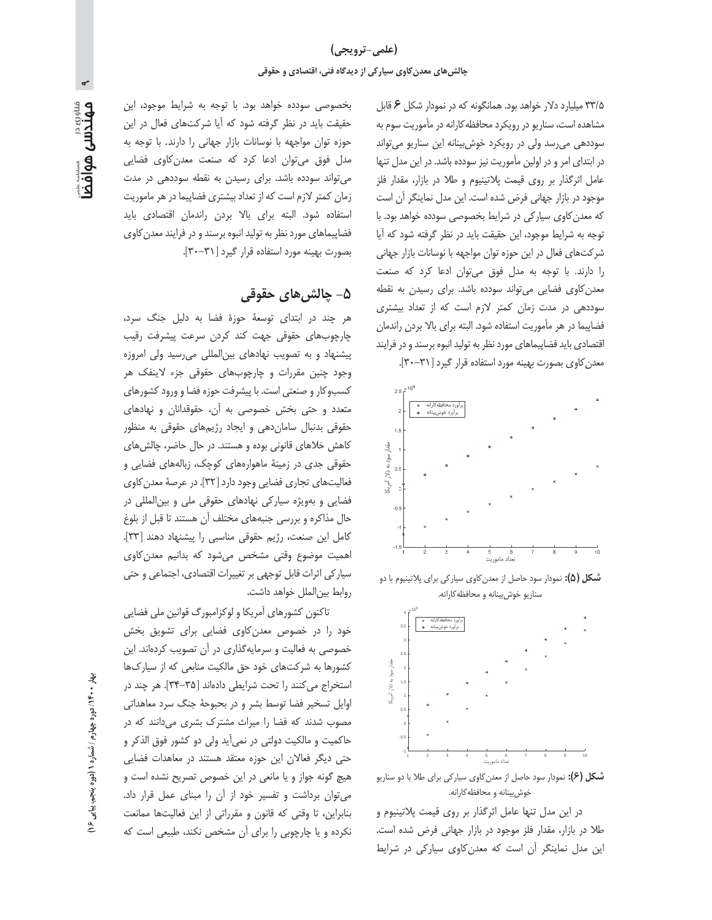۳۳/۵ میلیارد دلار خواهد بود. همانگونه که در نمودار شکل ۶ قابل مشاهده است، سناریو در رویکرد محافظه کارانه در مأموریت سوم به سوددهی می رسد ولی در رویکرد خوش بینانه این سناریو می تواند در ابتدای امر و در اولین مأموریت نیز سودده باشد. در این مدل تنها عامل اثرگذار بر روی قیمت پلاتینیوم و طلا در بازار، مقدار فلز موجود در بازار جهانی فرض شده است. این مدل نماینگر آن است که معدن کاوی سیارکی در شرایط بخصوصی سودده خواهد بود. با توجه به شرایط موجود، این حقیقت باید در نظر گرفته شود که آیا شرکتهای فعال در این حوزه توان مواجهه با نوسانات بازار جهانی را دارند. با توجه به مدل فوق می توان ادعا کرد که صنعت معدن کاوی فضایی میتواند سودده باشد. برای رسیدن به نقطه سوددهی در مدت زمان کمتر لازم است که از تعداد بیشتری فضاپیما در هر مأموریت استفاده شود. البته برای بالا بردن راندمان اقتصادی باید فضاپیماهای مورد نظر به تولید انبوه برسند و در فرایند





**شکل (۵):** نمودار سود حاصل از معدن کاوی سیار کی برای پلاتینیوم با دو سناريو خوش بينانه و محافظه كارانه.



**شکل (۶):** نمودار سود حاصل از معدن کاوی سیار کی برای طلا با دو سناریو خوش بینانه و محافظه کارانه.

در این مدل تنها عامل اثرگذار بر روی قیمت پلاتینیوم و طلا در بازار، مقدار فلز موجود در بازار جهانی فرض شده است. این مدل نماینگر آن است که معدن کاوی سیارکی در شرایط

بخصوصی سودده خواهد بود. با توجه به شرایط موجود، این حقیقت باید در نظر گرفته شود که آیا شرکتهای فعال در این حوزه توان مواجهه با نوسانات بازار جهانی را دارند. با توجه به مدل فوق می توان ادعا کرد که صنعت معدن کاوی فضایی می تواند سودده باشد. برای رسیدن به نقطه سوددهی در مدت زمان کمتر لازم است که از تعداد بیشتری فضاپیما در هر ماموریت استفاده شود. البته براى بالا بردن راندمان اقتصادى بايد فضاپیماهای مورد نظر به تولید انبوه برسند و در فرایند معدن کاوی بصورت بهينه مورد استفاده قرار كيرد [٣٠-٣٠].

## ۵– چالش های حقوقی

هر چند در ابتدای توسعهٔ حوزهٔ فضا به دلیل جنگ سرد، چارچوبهای حقوقی جهت کند کردن سرعت پیشرفت رقیب پیشنهاد و به تصویب نهادهای بین المللی می رسید ولی امروزه وجود چنین مقررات و چارچوبهای حقوقی جزء لاینفک هر کسبوکار و صنعتی است. با پیشرفت حوزه فضا و ورود کشورهای متعدد و حتی بخش خصوصی به آن، حقوقدانان و نهادهای حقوقی بدنبال سامان دهی و ایجاد رژیمهای حقوقی به منظور کاهش خلاهای قانونی بوده و هستند. در حال حاضر، چالش های حقوقی جدی در زمینهٔ ماهوارههای کوچک، زبالههای فضایی و فعالیتهای تجاری فضایی وجود دارد [۳۲]. در عرصهٔ معدن کاوی فضایی و بهویژه سیارکی نهادهای حقوقی ملی و بین المللی در حال مذاکره و بررسی جنبههای مختلف آن هستند تا قبل از بلوغ كامل اين صنعت، رژيم حقوقى مناسبي را پيشنهاد دهند [٣٣]. اهمیت موضوع وقتی مشخص می شود که بدانیم معدن کاوی سیار کی اثرات قابل توجهی بر تغییرات اقتصادی، اجتماعی و حتی روابط بين|لملل خواهد داشت.

تاکنون کشورهای آمریکا و لوکزامبورگ قوانین ملی فضایی خود را در خصوص معدن کاوی فضایی برای تشویق بخش خصوصی به فعالیت و سرمایهگذاری در آن تصویب کردهاند. این کشورها به شرکتهای خود حق مالکیت منابعی که از سیارکها استخراج می کنند را تحت شرایطی دادهاند [۳۵-۳۴]. هر چند در اوایل تسخیر فضا توسط بشر و در بحبوحهٔ جنگ سرد معاهداتی مصوب شدند که فضا را میراث مشترک بشری میدانند که در حاكميت و مالكيت دولتي در نمي آيد ولي دو كشور فوق الذكر و حتی دیگر فعالان این حوزه معتقد هستند در معاهدات فضایی هیچ گونه جواز و یا مانعی در این خصوص تصریح نشده است و می توان برداشت و تفسیر خود از آن را مبنای عمل قرار داد. بنابراین، تا وقتی که قانون و مقرراتی از این فعالیتها ممانعت نکرده و یا چارچوبی را برای آن مشخص نکند، طبیعی است که

 $\sum$ 

<sub>میروی در</sub><br>**مهندسی هوافض**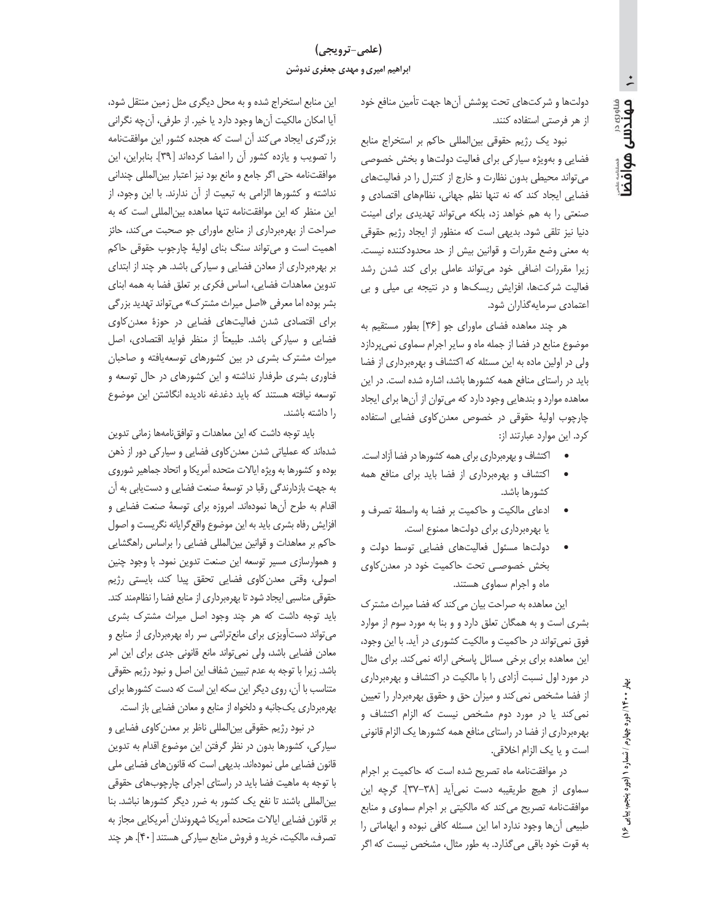# (علمي-ترويجي) ابراهیم امیری و مهدی جعفری ندوشن

دولتها و شركتهاى تحت پوشش آنها جهت تأمين منافع خود از هر فرصتی استفاده کنند.

نبود یک رژیم حقوقی بین|لمللی حاکم بر استخراج منابع فضایی و بهویژه سیارکی برای فعالیت دولتها و بخش خصوصی می تواند محیطی بدون نظارت و خارج از کنترل را در فعالیتهای فضایی ایجاد کند که نه تنها نظم جهانی، نظامهای اقتصادی و صنعتی را به هم خواهد زد، بلکه میتواند تهدیدی برای امینت دنیا نیز تلقی شود. بدیهی است که منظور از ایجاد رژیم حقوقی به معنى وضع مقررات و قوانين بيش از حد محدودكننده نيست. زیرا مقررات اضافی خود می تواند عاملی برای کند شدن رشد فعالیت شرکتها، افزایش ریسکها و در نتیجه بی میلی و بی اعتمادي سرمايه گذاران شود.

هر چند معاهده فضای ماورای جو [۳۶] بطور مستقیم به موضوع منابع در فضا از جمله ماه و سایر اجرام سماوی نمی پردازد ولی در اولین ماده به این مسئله که اکتشاف و بهرهبرداری از فضا باید در راستای منافع همه کشورها باشد، اشاره شده است. در این معاهده موارد و بندهایی وجود دارد که می توان از آنها برای ایجاد چارچوب اولیهٔ حقوقی در خصوص معدن کاوی فضایی استفاده کرد. این موارد عبارتند از:

- اکتشاف و بهرهبرداری برای همه کشورها در فضا آزاد است.
- اکتشاف و بهرهبرداری از فضا باید برای منافع همه  $\bullet$ كشورها باشد.
- ادعاى مالكيت و حاكميت بر فضا به واسطة تصرف و یا بهرهبرداری برای دولتها ممنوع است.
- دولتها مسئول فعالیتهای فضایی توسط دولت و بخش خصوصی تحت حاکمیت خود در معدن کاوی ماه و اجرام سماوی هستند.

این معاهده به صراحت بیان می کند که فضا میراث مشترک بشری است و به همگان تعلق دارد و و بنا به مورد سوم از موارد فوق نمی تواند در حاکمیت و مالکیت کشوری در آید. با این وجود، این معاهده برای برخی مسائل پاسخی ارائه نمی کند. برای مثال در مورد اول نسبت آزادی را با مالکیت در اکتشاف و بهرهبرداری از فضا مشخص نمی کند و میزان حق و حقوق بهرهبردار را تعیین نمی کند یا در مورد دوم مشخص نیست که الزام اکتشاف و بهرهبرداری از فضا در راستای منافع همه کشورها یک الزام قانونی است و يا يک الزام اخلاقي.

در موافقتنامه ماه تصريح شده است كه حاكميت بر اجرام سماوى از هيچ طريقيبه دست نمى آيد [٣٨-٣٧]. گرچه اين موافقتنامه تصریح می کند که مالکیتی بر اجرام سماوی و منابع طبیعی آنها وجود ندارد اما این مسئله کافی نبوده و ابهاماتی را به قوت خود باقی میگذارد. به طور مثال، مشخص نیست که اگر

این منابع استخراج شده و به محل دیگری مثل زمین منتقل شود، أيا امكان مالكيت أنها وجود دارد يا خير. از طرفي، أنچه نگراني بزرگتری ایجاد میکند آن است که هجده کشور این موافقتنامه را تصویب و یازده کشور آن را امضا کردهاند [۳۹]. بنابراین، این موافقتنامه حتى اگر جامع و مانع بود نيز اعتبار بينالمللي چنداني نداشته و کشورها الزامی به تبعیت از آن ندارند. با این وجود، از این منظر که این موافقتنامه تنها معاهده بینالمللی است که به صراحت از بهرهبرداری از منابع ماورای جو صحبت می کند، حائز اهمیت است و می تواند سنگ بنای اولیهٔ چارجوب حقوقی حاکم بر بهرهبرداری از معادن فضایی و سیارکی باشد. هر چند از ابتدای تدوین معاهدات فضایی، اساس فکری بر تعلق فضا به همه ابنای بشر بوده اما معرفي «اصل ميراث مشترك» مي تواند تهديد بزركي برای اقتصادی شدن فعالیتهای فضایی در حوزهٔ معدن کاوی فضایی و سیارکی باشد. طبیعتاً از منظر فواید اقتصادی، اصل میراث مشترک بشری در بین کشورهای توسعه یافته و صاحبان فناوری بشری طرفدار نداشته و این کشورهای در حال توسعه و توسعه نیافته هستند که باید دغدغه نادیده انگاشتن این موضوع را داشته باشند.

باید توجه داشت که این معاهدات و توافق نامهها زمانی تدوین شدهاند که عملیاتی شدن معدن کاوی فضایی و سیارکی دور از ذهن بوده و کشورها به ویژه ایالات متحده آمریکا و اتحاد جماهیر شوروی به جهت بازدارندگی رقبا در توسعهٔ صنعت فضایی و دستیابی به آن اقدام به طرح أنها نمودهاند. امروزه براي توسعهٔ صنعت فضايي و افزایش رفاه بشری باید به این موضوع واقع گرایانه نگریست و اصول حاکم بر معاهدات و قوانین بین|لمللی فضایی را براساس راهگشایی و هموارسازی مسیر توسعه این صنعت تدوین نمود. با وجود چنین اصولی، وقتی معدنِ کاوی فضایی تحقق پیدا کند، بایستی رژیم حقوقی مناسبی ایجاد شود تا بهرهبرداری از منابع فضا را نظاممند کند. باید توجه داشت که هر چند وجود اصل میراث مشترک بشری میتواند دستآویزی برای مانعتراشی سر راه بهرهبرداری از منابع و معادن فضایی باشد، ولی نمیتواند مانع قانونی جدی برای این امر باشد. زیرا با توجه به عدم تبیین شفاف این اصل و نبود رژیم حقوقی متناسب با آن، روی دیگر این سکه این است که دست کشورها برای بهرهبرداری یکجانبه و دلخواه از منابع و معادن فضایی باز است.

در نبود رژیم حقوقی بینالمللی ناظر بر معدن کاوی فضایی و سیارکی، کشورها بدون در نظر گرفتن این موضوع اقدام به تدوین قانون فضایی ملی نمودهاند. بدیهی است که قانونهای فضایی ملی با توجه به ماهیت فضا باید در راستای اجرای چارچوبهای حقوقی بین المللی باشند تا نفع یک کشور به ضرر دیگر کشورها نباشد. بنا بر قانون فضايي ايالات متحده آمريكا شهروندان آمريكايي مجاز به تصرف، مالکیت، خرید و فروش منابع سیارکی هستند [۴۰]. هر چند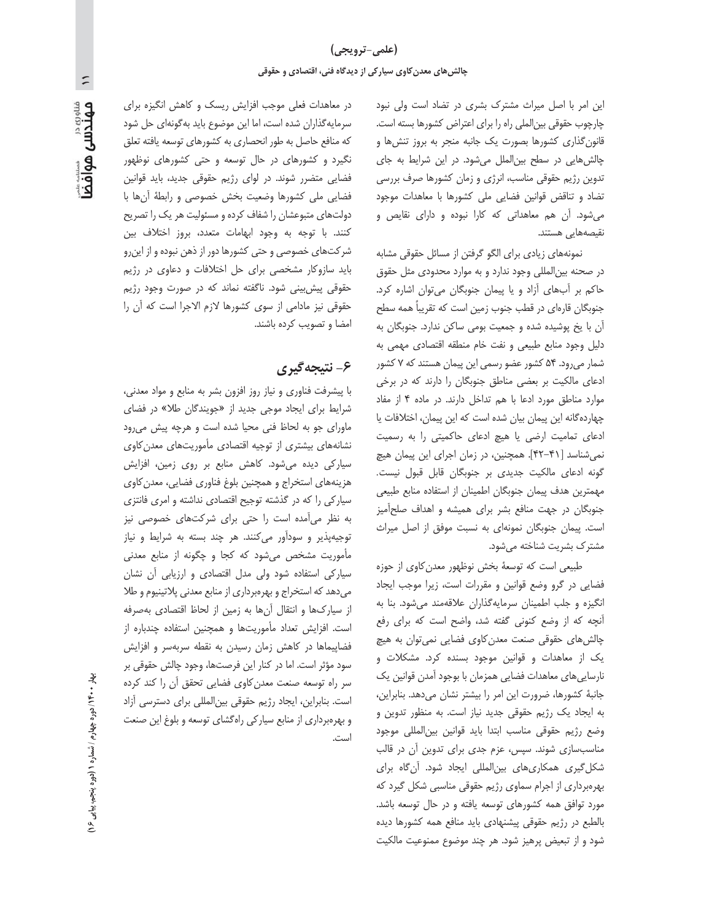این امر با اصل میراث مشترک بشری در تضاد است ولی نبود چارچوب حقوقی بین الملی راه را برای اعتراض کشورها بسته است. قانون گذاری کشورها بصورت یک جانبه منجر به بروز تنشها و چالشهایی در سطح بین الملل می شود. در این شرایط به جای تدوین رژیم حقوقی مناسب، انرژی و زمان کشورها صرف بررسی تضاد وتناقض قوانين فضايي ملى كشورها با معاهدات موجود می شود. آن هم معاهداتی که کارا نبوده و دارای نقایص و نقیصەھایی ھستند.

نمونههای زیادی برای الگو گرفتن از مسائل حقوقی مشابه در صحنه بین|لمللی وجود ندارد و به موارد محدودی مثل حقوق حاکم بر آبهای آزاد و یا پیمان جنوبگان می توان اشاره کرد. جنوبگان قارەای در قطب جنوب زمین است که تقریباً همه سطح آن با یخ پوشیده شده و جمعیت بومی ساکن ندارد. جنوبگان به دلیل وجود منابع طبیعی و نفت خام منطقه اقتصادی مهمی به شمار می رود. ۵۴ کشور عضو رسمی این پیمان هستند که ۷ کشور ادعای مالکیت بر بعضی مناطق جنوبگان را دارند که در برخی موارد مناطق مورد ادعا با هم تداخل دارند. در ماده ۴ از مفاد چهاردهگانه این پیمان بیان شده است که این پیمان، اختلافات یا ادعای تمامیت ارضی یا هیچ ادعای حاکمیتی را به رسمیت نمی شناسد [۴۱-۴۲]. همچنین، در زمان اجرای این پیمان هیچ گونه ادعای مالکیت جدیدی بر جنوبگان قابل قبول نیست. مهمترین هدف پیمان جنوبگان اطمینان از استفاده منابع طبیعی جنوبگان در جهت منافع بشر برای همیشه و اهداف صلحآمیز است. پیمان جنوبگان نمونهای به نسبت موفق از اصل میراث مشترک بشریت شناخته میشود.

طبیعی است که توسعهٔ بخش نوظهور معدن کاوی از حوزه فضایی در گرو وضع قوانین و مقررات است، زیرا موجب ایجاد انگیزه و جلب اطمینان سرمایهگذاران علاقهمند میشود. بنا به آنچه که از وضع کنونی گفته شد، واضح است که برای رفع چالشهای حقوقی صنعت معدن کاوی فضایی نمیتوان به هیچ یک از معاهدات و قوانین موجود بسنده کرد. مشکلات و نارسایی های معاهدات فضایی همزمان با بوجود آمدن قوانین یک جانبهٔ کشورها، ضرورت این امر را بیشتر نشان میدهد. بنابراین، به ایجاد یک رژیم حقوقی جدید نیاز است. به منظور تدوین و وضع رژيم حقوقى مناسب ابتدا بايد قوانين بين المللي موجود مناسب سازی شوند. سپس، عزم جدی برای تدوین آن در قالب شکل گیری همکاریهای بین المللی ایجاد شود. آن گاه برای بهرهبرداری از اجرام سماوی رژیم حقوقی مناسبی شکل گیرد که مورد توافق همه کشورهای توسعه یافته و در حال توسعه باشد. بالطبع در رژيم حقوقي پيشنهادي بايد منافع همه كشورها ديده شود و از تبعیض پرهیز شود. هر چند موضوع ممنوعیت مالکیت

در معاهدات فعلی موجب افزایش ریسک و کاهش انگیزه برای سرمایه گذاران شده است، اما این موضوع باید به گونهای حل شود که منافع حاصل به طور انحصاری به کشورهای توسعه یافته تعلق نگیرد و کشورهای در حال توسعه و حتی کشورهای نوظهور فضایی متضرر شوند. در لوای رژیم حقوقی جدید، باید قوانین فضایی ملی کشورها وضعیت بخش خصوصی و رابطهٔ آنها با دولتهای متبوعشان را شفاف کرده و مسئولیت هر یک را تصریح كنند. با توجه به وجود ابهامات متعدد، بروز اختلاف بين شرکتهای خصوصی و حتی کشورها دور از ذهن نبوده و از این رو باید سازوکار مشخصی برای حل اختلافات و دعاوی در رژیم حقوقی پیش بینی شود. ناگفته نماند که در صورت وجود رژیم حقوقی نیز مادامی از سوی کشورها لازم الاجرا است که آن را امضا و تصويب كرده باشند.

#### ۶- نتیجه گیری

با پیشرفت فناوری و نیاز روز افزون بشر به منابع و مواد معدنی، شرایط برای ایجاد موجی جدید از «جویندگان طلا» در فضای ماورای جو به لحاظ فنی محیا شده است و هرچه پیش می رود نشانههای بیشتری از توجیه اقتصادی مأموریتهای معدن کاوی سیارکی دیده میشود. کاهش منابع بر روی زمین، افزایش هزینههای استخراج و همچنین بلوغ فناوری فضایی، معدن کاوی سیارکی را که در گذشته توجیح اقتصادی نداشته و امری فانتزی به نظر می آمده است را حتی برای شرکتهای خصوصی نیز توجیهپذیر و سودآور می کنند. هر چند بسته به شرایط و نیاز مأموریت مشخص میشود که کجا و چگونه از منابع معدنی سیارکی استفاده شود ولی مدل اقتصادی و ارزیابی آن نشان می دهد که استخراج و بهرهبرداری از منابع معدنی پلاتینیوم و طلا از سیارکها و انتقال آنها به زمین از لحاظ اقتصادی بهصرفه است. افزایش تعداد مأموریتها و همچنین استفاده چندباره از فضاپیماها در کاهش زمان رسیدن به نقطه سربهسر و افزایش سود مؤثر است. اما در كنار اين فرصتها، وجود چالش حقوقى بر سر راه توسعه صنعت معدن كاوى فضايي تحقق آن را كند كرده است. بنابراین، ایجاد رژیم حقوقی بین المللی برای دسترسی آزاد و بهرهبرداری از منابع سیارکی راهگشای توسعه و بلوغ این صنعت است.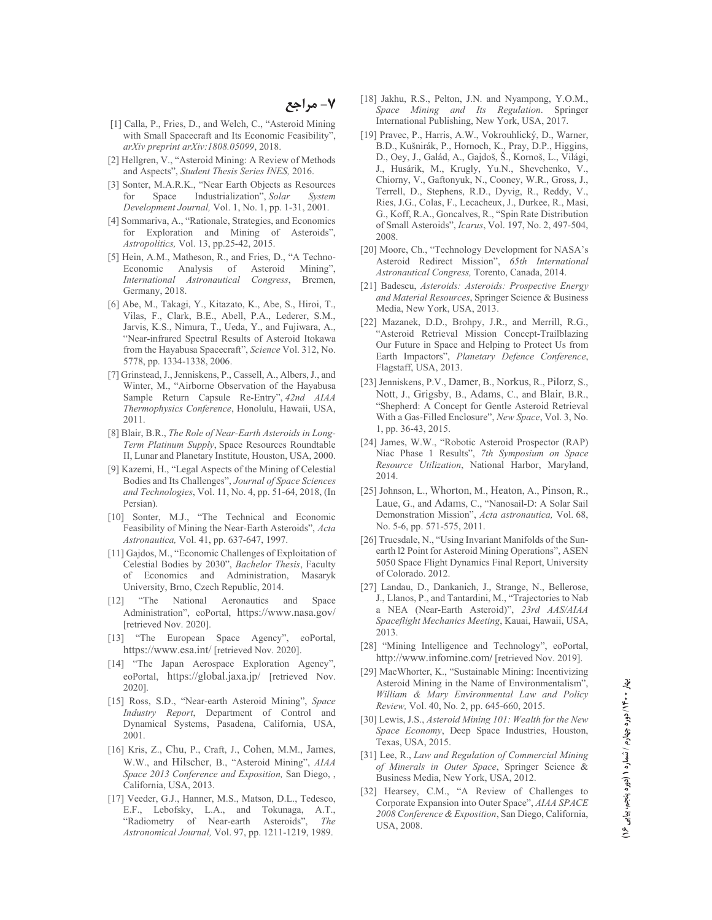- [1] Calla, P., Fries, D., and Welch, C., "Asteroid Mining with Small Spacecraft and Its Economic Feasibility". arXiv preprint arXiv:1808.05099, 2018.
- [2] Hellgren, V., "Asteroid Mining: A Review of Methods and Aspects", Student Thesis Series INES, 2016.
- [3] Sonter, M.A.R.K., "Near Earth Objects as Resources  $for$ Space Industrialization", Solar System Development Journal, Vol. 1, No. 1, pp. 1-31, 2001.
- [4] Sommariva, A., "Rationale, Strategies, and Economics for Exploration and Mining of Asteroids". Astropolitics, Vol. 13, pp.25-42, 2015.
- [5] Hein, A.M., Matheson, R., and Fries, D., "A Techno-Economic Analysis of Asteroid Mining", International Astronautical Congress, Bremen, Germany, 2018.
- [6] Abe, M., Takagi, Y., Kitazato, K., Abe, S., Hiroi, T., Vilas, F., Clark, B.E., Abell, P.A., Lederer, S.M., Jarvis, K.S., Nimura, T., Ueda, Y., and Fujiwara, A., "Near-infrared Spectral Results of Asteroid Itokawa from the Hayabusa Spacecraft", Science Vol. 312, No. 5778, pp. 1334-1338, 2006.
- [7] Grinstead, J., Jenniskens, P., Cassell, A., Albers, J., and Winter, M., "Airborne Observation of the Hayabusa Sample Return Capsule Re-Entry", 42nd AIAA Thermophysics Conference, Honolulu, Hawaii, USA,  $2011.$
- [8] Blair, B.R., The Role of Near-Earth Asteroids in Long-Term Platinum Supply, Space Resources Roundtable II, Lunar and Planetary Institute, Houston, USA, 2000.
- [9] Kazemi, H., "Legal Aspects of the Mining of Celestial Bodies and Its Challenges", Journal of Space Sciences and Technologies, Vol. 11, No. 4, pp. 51-64, 2018, (In Persian).
- [10] Sonter, M.J., "The Technical and Economic Feasibility of Mining the Near-Earth Asteroids", Acta Astronautica, Vol. 41, pp. 637-647, 1997.
- [11] Gajdos, M., "Economic Challenges of Exploitation of Celestial Bodies by 2030", Bachelor Thesis, Faculty of Economics and Administration, Masaryk University, Brno, Czech Republic, 2014.
- "The National Aeronautics and  $[12]$ Space Administration", eoPortal, https://www.nasa.gov/ [retrieved Nov. 2020].
- "The European Space Agency", eoPortal,  $\lceil 13 \rceil$ https://www.esa.int/ [retrieved Nov. 2020].
- [14] "The Japan Aerospace Exploration Agency", eoPortal, https://global.jaxa.jp/ [retrieved Nov. 20201
- [15] Ross, S.D., "Near-earth Asteroid Mining", Space Industry Report, Department of Control and Dynamical Systems, Pasadena, California, USA, 2001.
- [16] Kris, Z., Chu, P., Craft, J., Cohen, M.M., James, W.W., and Hilscher, B., "Asteroid Mining", AIAA Space 2013 Conference and Exposition, San Diego,, California, USA, 2013.
- [17] Veeder, G.J., Hanner, M.S., Matson, D.L., Tedesco, E.F., Lebofsky, L.A., and Tokunaga, A.T., "Radiometry of Near-earth Asteroids", The Astronomical Journal, Vol. 97, pp. 1211-1219, 1989.
- [18] Jakhu, R.S., Pelton, J.N. and Nyampong, Y.O.M., Space Mining and Its Regulation. Springer International Publishing, New York, USA, 2017.
- [19] Pravec, P., Harris, A.W., Vokrouhlický, D., Warner, B.D., Kušnirák, P., Hornoch, K., Pray, D.P., Higgins, D., Oey, J., Galád, A., Gajdoš, Š., Kornoš, L., Világi, J., Husárik, M., Krugly, Yu.N., Shevchenko, V., Chiorny, V., Gaftonyuk, N., Cooney, W.R., Gross, J., Terrell, D., Stephens, R.D., Dyvig, R., Reddy, V., Ries, J.G., Colas, F., Lecacheux, J., Durkee, R., Masi, G., Koff, R.A., Goncalves, R., "Spin Rate Distribution of Small Asteroids", Icarus, Vol. 197, No. 2, 497-504, 2008.
- [20] Moore, Ch., "Technology Development for NASA's Asteroid Redirect Mission", 65th International Astronautical Congress, Torento, Canada, 2014.
- [21] Badescu, Asteroids: Asteroids: Prospective Energy and Material Resources, Springer Science & Business Media, New York, USA, 2013.
- [22] Mazanek, D.D., Brohpy, J.R., and Merrill, R.G., 'Asteroid Retrieval Mission Concept-Trailblazing Our Future in Space and Helping to Protect Us from Earth Impactors", Planetary Defence Conference, Flagstaff, USA, 2013.
- [23] Jenniskens, P.V., Damer, B., Norkus, R., Pilorz, S., Nott, J., Grigsby, B., Adams, C., and Blair, B.R., "Shepherd: A Concept for Gentle Asteroid Retrieval With a Gas-Filled Enclosure", New Space, Vol. 3, No. 1, pp. 36-43, 2015.
- [24] James, W.W., "Robotic Asteroid Prospector (RAP) Niac Phase 1 Results", 7th Symposium on Space Resource Utilization, National Harbor, Maryland, 2014.
- [25] Johnson, L., Whorton, M., Heaton, A., Pinson, R., Laue, G., and Adams, C., "Nanosail-D: A Solar Sail Demonstration Mission", Acta astronautica, Vol. 68, No. 5-6, pp. 571-575, 2011.
- [26] Truesdale, N., "Using Invariant Manifolds of the Sunearth 12 Point for Asteroid Mining Operations", ASEN 5050 Space Flight Dynamics Final Report, University of Colorado. 2012.
- [27] Landau, D., Dankanich, J., Strange, N., Bellerose, J., Llanos, P., and Tantardini, M., "Trajectories to Nab a NEA (Near-Earth Asteroid)", 23rd AAS/AIAA Spaceflight Mechanics Meeting, Kauai, Hawaii, USA, 2013.
- [28] "Mining Intelligence and Technology", eoPortal, http://www.infomine.com/ [retrieved Nov. 2019].
- [29] MacWhorter, K., "Sustainable Mining: Incentivizing Asteroid Mining in the Name of Environmentalism", William & Mary Environmental Law and Policy Review, Vol. 40, No. 2, pp. 645-660, 2015.
- [30] Lewis, J.S., Asteroid Mining 101: Wealth for the New Space Economy, Deep Space Industries, Houston, Texas, USA, 2015.
- [31] Lee, R., Law and Regulation of Commercial Mining of Minerals in Outer Space, Springer Science & Business Media, New York, USA, 2012.
- [32] Hearsey, C.M., "A Review of Challenges to Corporate Expansion into Outer Space", AIAA SPACE 2008 Conference & Exposition, San Diego, California, USA, 2008.